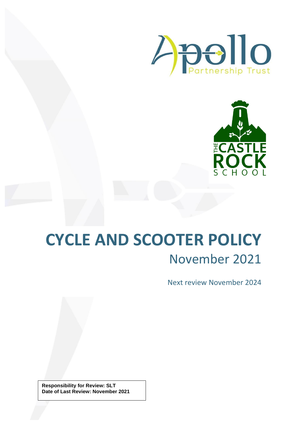



## **CYCLE AND SCOOTER POLICY** November 2021

Next review November 2024

**Responsibility for Review: SLT Date of Last Review: November 2021**